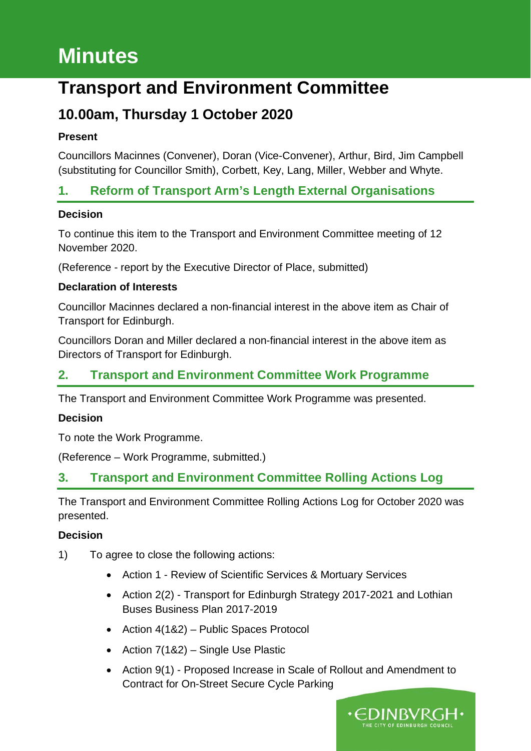# **Minutes**

## **Transport and Environment Committee**

## **10.00am, Thursday 1 October 2020**

#### **Present**

Councillors Macinnes (Convener), Doran (Vice-Convener), Arthur, Bird, Jim Campbell (substituting for Councillor Smith), Corbett, Key, Lang, Miller, Webber and Whyte.

## **1. Reform of Transport Arm's Length External Organisations**

#### **Decision**

To continue this item to the Transport and Environment Committee meeting of 12 November 2020.

(Reference - report by the Executive Director of Place, submitted)

#### **Declaration of Interests**

Councillor Macinnes declared a non-financial interest in the above item as Chair of Transport for Edinburgh.

Councillors Doran and Miller declared a non-financial interest in the above item as Directors of Transport for Edinburgh.

## **2. Transport and Environment Committee Work Programme**

The Transport and Environment Committee Work Programme was presented.

#### **Decision**

To note the Work Programme.

(Reference – Work Programme, submitted.)

## **3. Transport and Environment Committee Rolling Actions Log**

The Transport and Environment Committee Rolling Actions Log for October 2020 was presented.

#### **Decision**

- 1) To agree to close the following actions:
	- Action 1 Review of Scientific Services & Mortuary Services
	- Action 2(2) Transport for Edinburgh Strategy 2017-2021 and Lothian Buses Business Plan 2017-2019
	- Action 4(1&2) Public Spaces Protocol
	- Action 7(1&2) Single Use Plastic
	- Action 9(1) Proposed Increase in Scale of Rollout and Amendment to Contract for On-Street Secure Cycle Parking

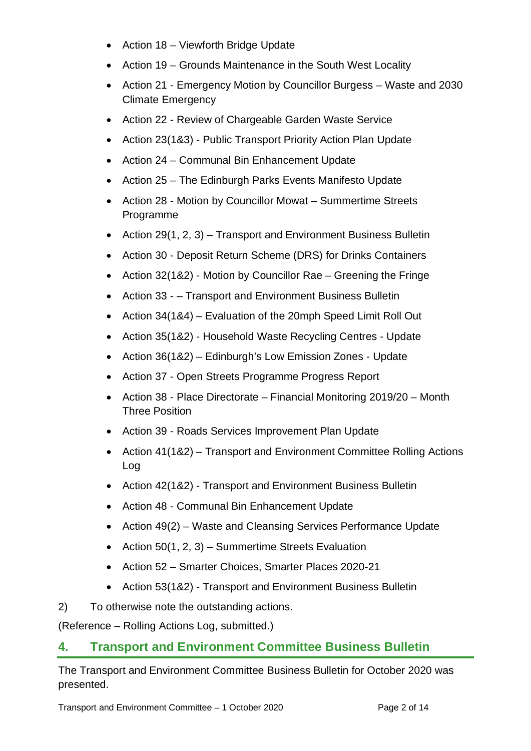- Action 18 Viewforth Bridge Update
- Action 19 Grounds Maintenance in the South West Locality
- Action 21 Emergency Motion by Councillor Burgess Waste and 2030 Climate Emergency
- Action 22 Review of Chargeable Garden Waste Service
- Action 23(1&3) Public Transport Priority Action Plan Update
- Action 24 Communal Bin Enhancement Update
- Action 25 The Edinburgh Parks Events Manifesto Update
- Action 28 Motion by Councillor Mowat Summertime Streets Programme
- Action 29(1, 2, 3) Transport and Environment Business Bulletin
- Action 30 Deposit Return Scheme (DRS) for Drinks Containers
- Action 32(1&2) Motion by Councillor Rae Greening the Fringe
- Action 33 – Transport and Environment Business Bulletin
- Action 34(1&4) Evaluation of the 20mph Speed Limit Roll Out
- Action 35(1&2) Household Waste Recycling Centres Update
- Action 36(1&2) Edinburgh's Low Emission Zones Update
- Action 37 Open Streets Programme Progress Report
- Action 38 Place Directorate Financial Monitoring 2019/20 Month Three Position
- Action 39 Roads Services Improvement Plan Update
- Action 41(1&2) Transport and Environment Committee Rolling Actions Log
- Action 42(1&2) Transport and Environment Business Bulletin
- Action 48 Communal Bin Enhancement Update
- Action 49(2) Waste and Cleansing Services Performance Update
- Action  $50(1, 2, 3)$  Summertime Streets Evaluation
- Action 52 Smarter Choices, Smarter Places 2020-21
- Action 53(1&2) Transport and Environment Business Bulletin
- 2) To otherwise note the outstanding actions.

(Reference – Rolling Actions Log, submitted.)

### **4. Transport and Environment Committee Business Bulletin**

The Transport and Environment Committee Business Bulletin for October 2020 was presented.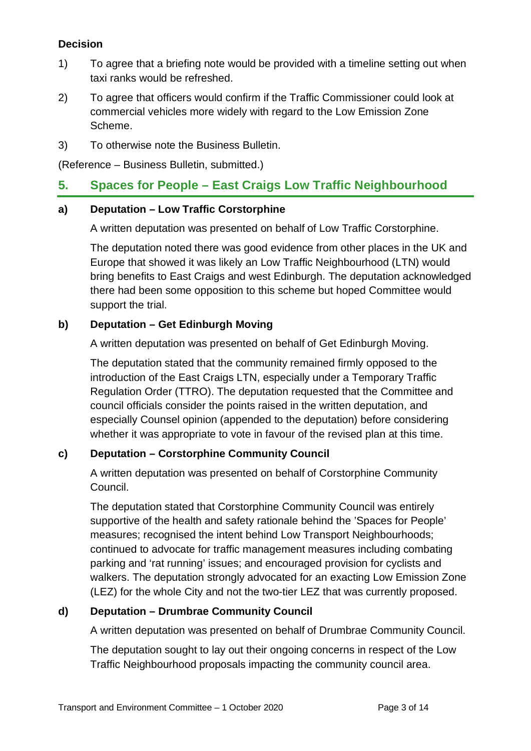#### **Decision**

- 1) To agree that a briefing note would be provided with a timeline setting out when taxi ranks would be refreshed.
- 2) To agree that officers would confirm if the Traffic Commissioner could look at commercial vehicles more widely with regard to the Low Emission Zone Scheme.
- 3) To otherwise note the Business Bulletin.

(Reference – Business Bulletin, submitted.)

#### **5. Spaces for People – East Craigs Low Traffic Neighbourhood**

#### **a) Deputation – Low Traffic Corstorphine**

A written deputation was presented on behalf of Low Traffic Corstorphine.

The deputation noted there was good evidence from other places in the UK and Europe that showed it was likely an Low Traffic Neighbourhood (LTN) would bring benefits to East Craigs and west Edinburgh. The deputation acknowledged there had been some opposition to this scheme but hoped Committee would support the trial.

#### **b) Deputation – Get Edinburgh Moving**

A written deputation was presented on behalf of Get Edinburgh Moving.

The deputation stated that the community remained firmly opposed to the introduction of the East Craigs LTN, especially under a Temporary Traffic Regulation Order (TTRO). The deputation requested that the Committee and council officials consider the points raised in the written deputation, and especially Counsel opinion (appended to the deputation) before considering whether it was appropriate to vote in favour of the revised plan at this time.

#### **c) Deputation – Corstorphine Community Council**

A written deputation was presented on behalf of Corstorphine Community Council.

The deputation stated that Corstorphine Community Council was entirely supportive of the health and safety rationale behind the 'Spaces for People' measures; recognised the intent behind Low Transport Neighbourhoods; continued to advocate for traffic management measures including combating parking and 'rat running' issues; and encouraged provision for cyclists and walkers. The deputation strongly advocated for an exacting Low Emission Zone (LEZ) for the whole City and not the two-tier LEZ that was currently proposed.

#### **d) Deputation – Drumbrae Community Council**

A written deputation was presented on behalf of Drumbrae Community Council.

The deputation sought to lay out their ongoing concerns in respect of the Low Traffic Neighbourhood proposals impacting the community council area.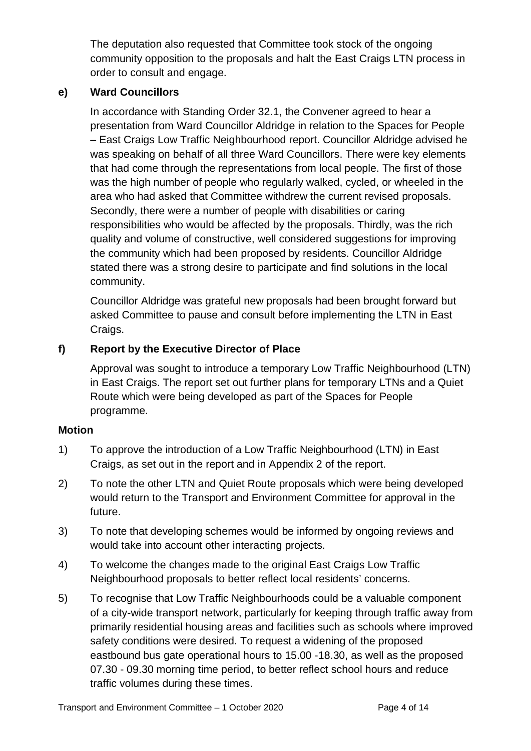The deputation also requested that Committee took stock of the ongoing community opposition to the proposals and halt the East Craigs LTN process in order to consult and engage.

#### **e) Ward Councillors**

In accordance with Standing Order 32.1, the Convener agreed to hear a presentation from Ward Councillor Aldridge in relation to the Spaces for People – East Craigs Low Traffic Neighbourhood report. Councillor Aldridge advised he was speaking on behalf of all three Ward Councillors. There were key elements that had come through the representations from local people. The first of those was the high number of people who regularly walked, cycled, or wheeled in the area who had asked that Committee withdrew the current revised proposals. Secondly, there were a number of people with disabilities or caring responsibilities who would be affected by the proposals. Thirdly, was the rich quality and volume of constructive, well considered suggestions for improving the community which had been proposed by residents. Councillor Aldridge stated there was a strong desire to participate and find solutions in the local community.

Councillor Aldridge was grateful new proposals had been brought forward but asked Committee to pause and consult before implementing the LTN in East Craigs.

#### **f) Report by the Executive Director of Place**

Approval was sought to introduce a temporary Low Traffic Neighbourhood (LTN) in East Craigs. The report set out further plans for temporary LTNs and a Quiet Route which were being developed as part of the Spaces for People programme.

#### **Motion**

- 1) To approve the introduction of a Low Traffic Neighbourhood (LTN) in East Craigs, as set out in the report and in Appendix 2 of the report.
- 2) To note the other LTN and Quiet Route proposals which were being developed would return to the Transport and Environment Committee for approval in the future.
- 3) To note that developing schemes would be informed by ongoing reviews and would take into account other interacting projects.
- 4) To welcome the changes made to the original East Craigs Low Traffic Neighbourhood proposals to better reflect local residents' concerns.
- 5) To recognise that Low Traffic Neighbourhoods could be a valuable component of a city-wide transport network, particularly for keeping through traffic away from primarily residential housing areas and facilities such as schools where improved safety conditions were desired. To request a widening of the proposed eastbound bus gate operational hours to 15.00 -18.30, as well as the proposed 07.30 - 09.30 morning time period, to better reflect school hours and reduce traffic volumes during these times.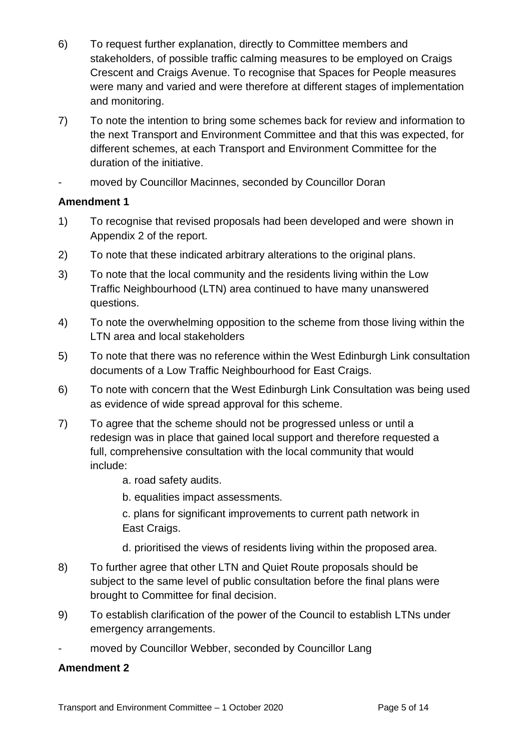- 6) To request further explanation, directly to Committee members and stakeholders, of possible traffic calming measures to be employed on Craigs Crescent and Craigs Avenue. To recognise that Spaces for People measures were many and varied and were therefore at different stages of implementation and monitoring.
- 7) To note the intention to bring some schemes back for review and information to the next Transport and Environment Committee and that this was expected, for different schemes, at each Transport and Environment Committee for the duration of the initiative.
- moved by Councillor Macinnes, seconded by Councillor Doran

#### **Amendment 1**

- 1) To recognise that revised proposals had been developed and were shown in Appendix 2 of the report.
- 2) To note that these indicated arbitrary alterations to the original plans.
- 3) To note that the local community and the residents living within the Low Traffic Neighbourhood (LTN) area continued to have many unanswered questions.
- 4) To note the overwhelming opposition to the scheme from those living within the LTN area and local stakeholders
- 5) To note that there was no reference within the West Edinburgh Link consultation documents of a Low Traffic Neighbourhood for East Craigs.
- 6) To note with concern that the West Edinburgh Link Consultation was being used as evidence of wide spread approval for this scheme.
- 7) To agree that the scheme should not be progressed unless or until a redesign was in place that gained local support and therefore requested a full, comprehensive consultation with the local community that would include:
	- a. road safety audits.
	- b. equalities impact assessments.

c. plans for significant improvements to current path network in East Craigs.

- d. prioritised the views of residents living within the proposed area.
- 8) To further agree that other LTN and Quiet Route proposals should be subject to the same level of public consultation before the final plans were brought to Committee for final decision.
- 9) To establish clarification of the power of the Council to establish LTNs under emergency arrangements.
- moved by Councillor Webber, seconded by Councillor Lang

#### **Amendment 2**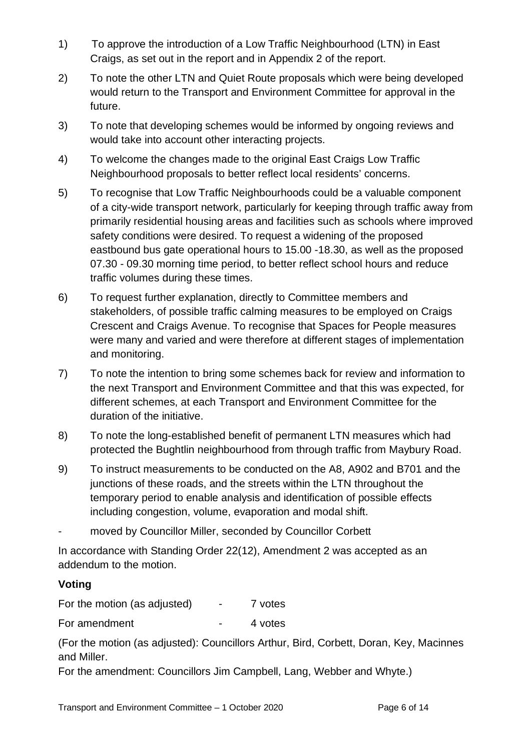- 1) To approve the introduction of a Low Traffic Neighbourhood (LTN) in East Craigs, as set out in the report and in Appendix 2 of the report.
- 2) To note the other LTN and Quiet Route proposals which were being developed would return to the Transport and Environment Committee for approval in the future.
- 3) To note that developing schemes would be informed by ongoing reviews and would take into account other interacting projects.
- 4) To welcome the changes made to the original East Craigs Low Traffic Neighbourhood proposals to better reflect local residents' concerns.
- 5) To recognise that Low Traffic Neighbourhoods could be a valuable component of a city-wide transport network, particularly for keeping through traffic away from primarily residential housing areas and facilities such as schools where improved safety conditions were desired. To request a widening of the proposed eastbound bus gate operational hours to 15.00 -18.30, as well as the proposed 07.30 - 09.30 morning time period, to better reflect school hours and reduce traffic volumes during these times.
- 6) To request further explanation, directly to Committee members and stakeholders, of possible traffic calming measures to be employed on Craigs Crescent and Craigs Avenue. To recognise that Spaces for People measures were many and varied and were therefore at different stages of implementation and monitoring.
- 7) To note the intention to bring some schemes back for review and information to the next Transport and Environment Committee and that this was expected, for different schemes, at each Transport and Environment Committee for the duration of the initiative.
- 8) To note the long-established benefit of permanent LTN measures which had protected the Bughtlin neighbourhood from through traffic from Maybury Road.
- 9) To instruct measurements to be conducted on the A8, A902 and B701 and the junctions of these roads, and the streets within the LTN throughout the temporary period to enable analysis and identification of possible effects including congestion, volume, evaporation and modal shift.
- moved by Councillor Miller, seconded by Councillor Corbett

In accordance with Standing Order 22(12), Amendment 2 was accepted as an addendum to the motion.

#### **Voting**

For the motion (as adjusted) - 7 votes

For amendment The Contract Contract Contract Automobile Automatic Automobile Automatic Automatic Automatic Automatic Automatic Automatic Automatic Automatic Automatic Automatic Automatic Automatic Automatic Automatic Autom

(For the motion (as adjusted): Councillors Arthur, Bird, Corbett, Doran, Key, Macinnes and Miller.

For the amendment: Councillors Jim Campbell, Lang, Webber and Whyte.)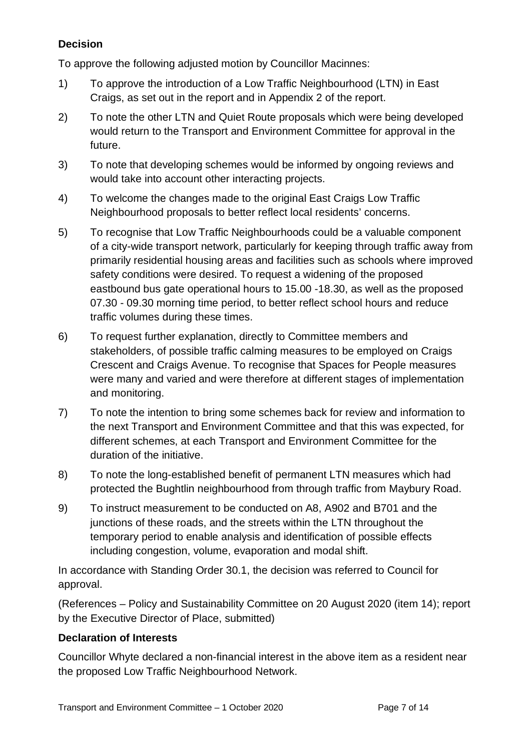#### **Decision**

To approve the following adjusted motion by Councillor Macinnes:

- 1) To approve the introduction of a Low Traffic Neighbourhood (LTN) in East Craigs, as set out in the report and in Appendix 2 of the report.
- 2) To note the other LTN and Quiet Route proposals which were being developed would return to the Transport and Environment Committee for approval in the future.
- 3) To note that developing schemes would be informed by ongoing reviews and would take into account other interacting projects.
- 4) To welcome the changes made to the original East Craigs Low Traffic Neighbourhood proposals to better reflect local residents' concerns.
- 5) To recognise that Low Traffic Neighbourhoods could be a valuable component of a city-wide transport network, particularly for keeping through traffic away from primarily residential housing areas and facilities such as schools where improved safety conditions were desired. To request a widening of the proposed eastbound bus gate operational hours to 15.00 -18.30, as well as the proposed 07.30 - 09.30 morning time period, to better reflect school hours and reduce traffic volumes during these times.
- 6) To request further explanation, directly to Committee members and stakeholders, of possible traffic calming measures to be employed on Craigs Crescent and Craigs Avenue. To recognise that Spaces for People measures were many and varied and were therefore at different stages of implementation and monitoring.
- 7) To note the intention to bring some schemes back for review and information to the next Transport and Environment Committee and that this was expected, for different schemes, at each Transport and Environment Committee for the duration of the initiative.
- 8) To note the long-established benefit of permanent LTN measures which had protected the Bughtlin neighbourhood from through traffic from Maybury Road.
- 9) To instruct measurement to be conducted on A8, A902 and B701 and the junctions of these roads, and the streets within the LTN throughout the temporary period to enable analysis and identification of possible effects including congestion, volume, evaporation and modal shift.

In accordance with Standing Order 30.1, the decision was referred to Council for approval.

(References – Policy and Sustainability Committee on 20 August 2020 (item 14); report by the Executive Director of Place, submitted)

#### **Declaration of Interests**

Councillor Whyte declared a non-financial interest in the above item as a resident near the proposed Low Traffic Neighbourhood Network.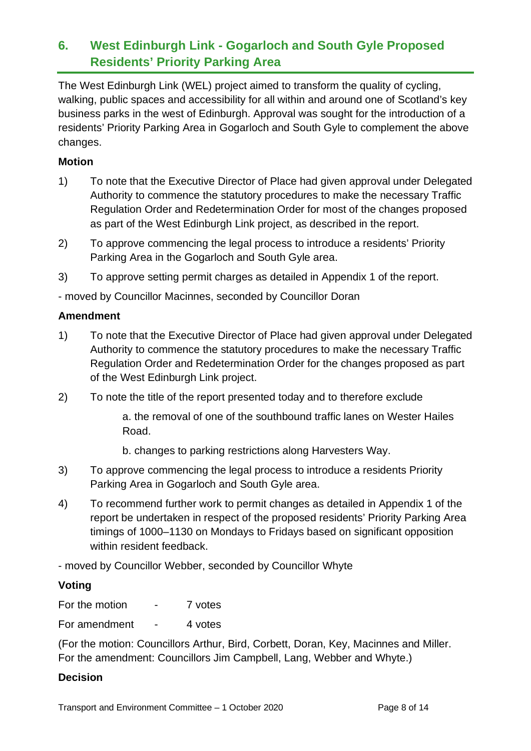## **6. West Edinburgh Link - Gogarloch and South Gyle Proposed Residents' Priority Parking Area**

The West Edinburgh Link (WEL) project aimed to transform the quality of cycling, walking, public spaces and accessibility for all within and around one of Scotland's key business parks in the west of Edinburgh. Approval was sought for the introduction of a residents' Priority Parking Area in Gogarloch and South Gyle to complement the above changes.

#### **Motion**

- 1) To note that the Executive Director of Place had given approval under Delegated Authority to commence the statutory procedures to make the necessary Traffic Regulation Order and Redetermination Order for most of the changes proposed as part of the West Edinburgh Link project, as described in the report.
- 2) To approve commencing the legal process to introduce a residents' Priority Parking Area in the Gogarloch and South Gyle area.
- 3) To approve setting permit charges as detailed in Appendix 1 of the report.

- moved by Councillor Macinnes, seconded by Councillor Doran

#### **Amendment**

- 1) To note that the Executive Director of Place had given approval under Delegated Authority to commence the statutory procedures to make the necessary Traffic Regulation Order and Redetermination Order for the changes proposed as part of the West Edinburgh Link project.
- 2) To note the title of the report presented today and to therefore exclude

a. the removal of one of the southbound traffic lanes on Wester Hailes Road.

- b. changes to parking restrictions along Harvesters Way.
- 3) To approve commencing the legal process to introduce a residents Priority Parking Area in Gogarloch and South Gyle area.
- 4) To recommend further work to permit changes as detailed in Appendix 1 of the report be undertaken in respect of the proposed residents' Priority Parking Area timings of 1000–1130 on Mondays to Fridays based on significant opposition within resident feedback.

- moved by Councillor Webber, seconded by Councillor Whyte

#### **Voting**

| For the motion |  | 7 votes |
|----------------|--|---------|
|----------------|--|---------|

For amendment - 4 votes

(For the motion: Councillors Arthur, Bird, Corbett, Doran, Key, Macinnes and Miller. For the amendment: Councillors Jim Campbell, Lang, Webber and Whyte.)

#### **Decision**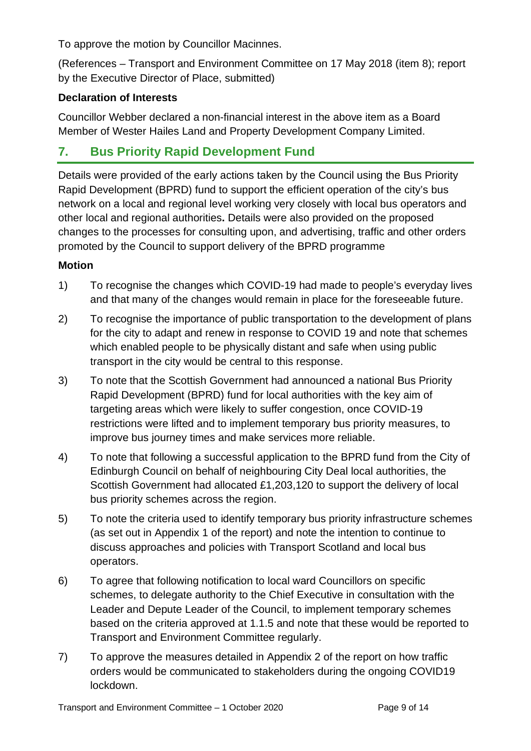To approve the motion by Councillor Macinnes.

(References – Transport and Environment Committee on 17 May 2018 (item 8); report by the Executive Director of Place, submitted)

#### **Declaration of Interests**

Councillor Webber declared a non-financial interest in the above item as a Board Member of Wester Hailes Land and Property Development Company Limited.

## **7. Bus Priority Rapid Development Fund**

Details were provided of the early actions taken by the Council using the Bus Priority Rapid Development (BPRD) fund to support the efficient operation of the city's bus network on a local and regional level working very closely with local bus operators and other local and regional authorities**.** Details were also provided on the proposed changes to the processes for consulting upon, and advertising, traffic and other orders promoted by the Council to support delivery of the BPRD programme

#### **Motion**

- 1) To recognise the changes which COVID-19 had made to people's everyday lives and that many of the changes would remain in place for the foreseeable future.
- 2) To recognise the importance of public transportation to the development of plans for the city to adapt and renew in response to COVID 19 and note that schemes which enabled people to be physically distant and safe when using public transport in the city would be central to this response.
- 3) To note that the Scottish Government had announced a national Bus Priority Rapid Development (BPRD) fund for local authorities with the key aim of targeting areas which were likely to suffer congestion, once COVID-19 restrictions were lifted and to implement temporary bus priority measures, to improve bus journey times and make services more reliable.
- 4) To note that following a successful application to the BPRD fund from the City of Edinburgh Council on behalf of neighbouring City Deal local authorities, the Scottish Government had allocated £1,203,120 to support the delivery of local bus priority schemes across the region.
- 5) To note the criteria used to identify temporary bus priority infrastructure schemes (as set out in Appendix 1 of the report) and note the intention to continue to discuss approaches and policies with Transport Scotland and local bus operators.
- 6) To agree that following notification to local ward Councillors on specific schemes, to delegate authority to the Chief Executive in consultation with the Leader and Depute Leader of the Council, to implement temporary schemes based on the criteria approved at 1.1.5 and note that these would be reported to Transport and Environment Committee regularly.
- 7) To approve the measures detailed in Appendix 2 of the report on how traffic orders would be communicated to stakeholders during the ongoing COVID19 lockdown.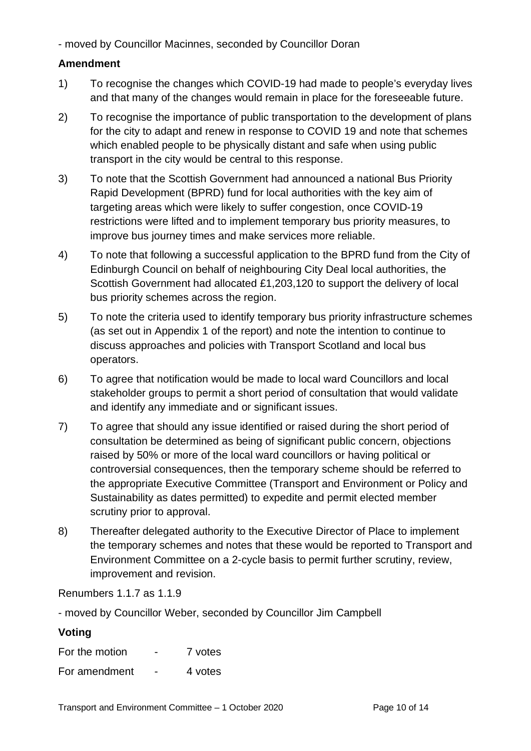- moved by Councillor Macinnes, seconded by Councillor Doran

#### **Amendment**

- 1) To recognise the changes which COVID-19 had made to people's everyday lives and that many of the changes would remain in place for the foreseeable future.
- 2) To recognise the importance of public transportation to the development of plans for the city to adapt and renew in response to COVID 19 and note that schemes which enabled people to be physically distant and safe when using public transport in the city would be central to this response.
- 3) To note that the Scottish Government had announced a national Bus Priority Rapid Development (BPRD) fund for local authorities with the key aim of targeting areas which were likely to suffer congestion, once COVID-19 restrictions were lifted and to implement temporary bus priority measures, to improve bus journey times and make services more reliable.
- 4) To note that following a successful application to the BPRD fund from the City of Edinburgh Council on behalf of neighbouring City Deal local authorities, the Scottish Government had allocated £1,203,120 to support the delivery of local bus priority schemes across the region.
- 5) To note the criteria used to identify temporary bus priority infrastructure schemes (as set out in Appendix 1 of the report) and note the intention to continue to discuss approaches and policies with Transport Scotland and local bus operators.
- 6) To agree that notification would be made to local ward Councillors and local stakeholder groups to permit a short period of consultation that would validate and identify any immediate and or significant issues.
- 7) To agree that should any issue identified or raised during the short period of consultation be determined as being of significant public concern, objections raised by 50% or more of the local ward councillors or having political or controversial consequences, then the temporary scheme should be referred to the appropriate Executive Committee (Transport and Environment or Policy and Sustainability as dates permitted) to expedite and permit elected member scrutiny prior to approval.
- 8) Thereafter delegated authority to the Executive Director of Place to implement the temporary schemes and notes that these would be reported to Transport and Environment Committee on a 2-cycle basis to permit further scrutiny, review, improvement and revision.

Renumbers 1.1.7 as 1.1.9

- moved by Councillor Weber, seconded by Councillor Jim Campbell

#### **Voting**

| For the motion | $\blacksquare$ | 7 votes |
|----------------|----------------|---------|
| For amendment  | $\blacksquare$ | 4 votes |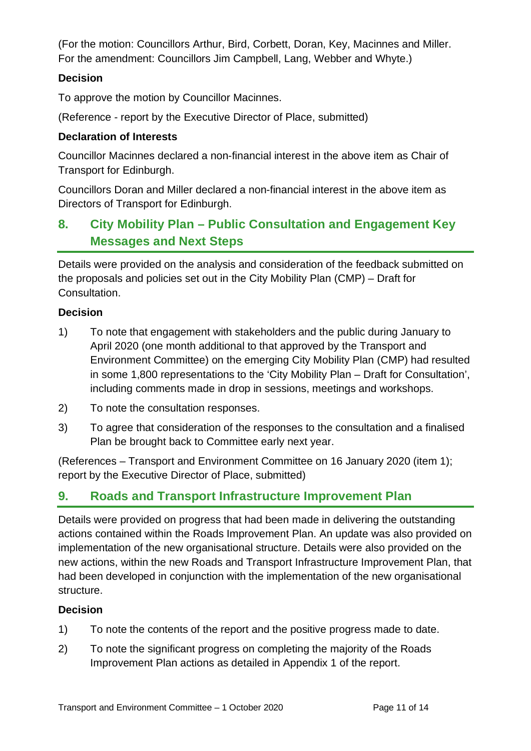(For the motion: Councillors Arthur, Bird, Corbett, Doran, Key, Macinnes and Miller. For the amendment: Councillors Jim Campbell, Lang, Webber and Whyte.)

#### **Decision**

To approve the motion by Councillor Macinnes.

(Reference - report by the Executive Director of Place, submitted)

#### **Declaration of Interests**

Councillor Macinnes declared a non-financial interest in the above item as Chair of Transport for Edinburgh.

Councillors Doran and Miller declared a non-financial interest in the above item as Directors of Transport for Edinburgh.

## **8. City Mobility Plan – Public Consultation and Engagement Key Messages and Next Steps**

Details were provided on the analysis and consideration of the feedback submitted on the proposals and policies set out in the City Mobility Plan (CMP) – Draft for Consultation.

#### **Decision**

- 1) To note that engagement with stakeholders and the public during January to April 2020 (one month additional to that approved by the Transport and Environment Committee) on the emerging City Mobility Plan (CMP) had resulted in some 1,800 representations to the 'City Mobility Plan – Draft for Consultation', including comments made in drop in sessions, meetings and workshops.
- 2) To note the consultation responses.
- 3) To agree that consideration of the responses to the consultation and a finalised Plan be brought back to Committee early next year.

(References – Transport and Environment Committee on 16 January 2020 (item 1); report by the Executive Director of Place, submitted)

## **9. Roads and Transport Infrastructure Improvement Plan**

Details were provided on progress that had been made in delivering the outstanding actions contained within the Roads Improvement Plan. An update was also provided on implementation of the new organisational structure. Details were also provided on the new actions, within the new Roads and Transport Infrastructure Improvement Plan, that had been developed in conjunction with the implementation of the new organisational structure.

#### **Decision**

- 1) To note the contents of the report and the positive progress made to date.
- 2) To note the significant progress on completing the majority of the Roads Improvement Plan actions as detailed in Appendix 1 of the report.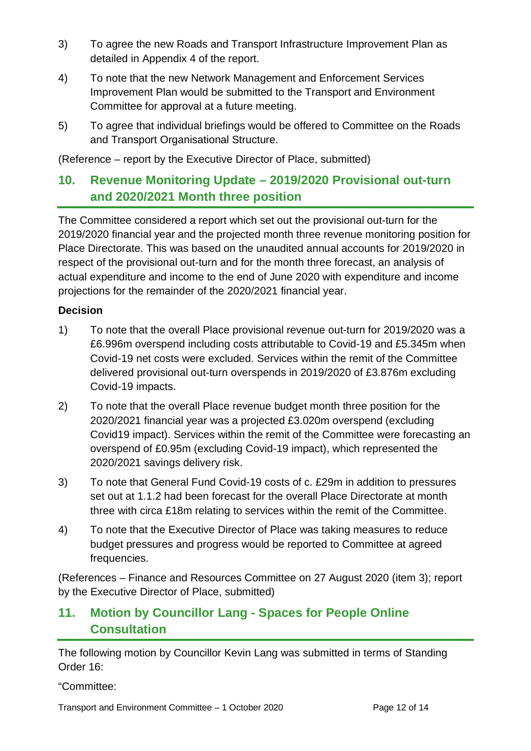- 3) To agree the new Roads and Transport Infrastructure Improvement Plan as detailed in Appendix 4 of the report.
- 4) To note that the new Network Management and Enforcement Services Improvement Plan would be submitted to the Transport and Environment Committee for approval at a future meeting.
- 5) To agree that individual briefings would be offered to Committee on the Roads and Transport Organisational Structure.

(Reference – report by the Executive Director of Place, submitted)

## **10. Revenue Monitoring Update – 2019/2020 Provisional out-turn and 2020/2021 Month three position**

The Committee considered a report which set out the provisional out-turn for the 2019/2020 financial year and the projected month three revenue monitoring position for Place Directorate. This was based on the unaudited annual accounts for 2019/2020 in respect of the provisional out-turn and for the month three forecast, an analysis of actual expenditure and income to the end of June 2020 with expenditure and income projections for the remainder of the 2020/2021 financial year.

#### **Decision**

- 1) To note that the overall Place provisional revenue out-turn for 2019/2020 was a £6.996m overspend including costs attributable to Covid-19 and £5.345m when Covid-19 net costs were excluded. Services within the remit of the Committee delivered provisional out-turn overspends in 2019/2020 of £3.876m excluding Covid-19 impacts.
- 2) To note that the overall Place revenue budget month three position for the 2020/2021 financial year was a projected £3.020m overspend (excluding Covid19 impact). Services within the remit of the Committee were forecasting an overspend of £0.95m (excluding Covid-19 impact), which represented the 2020/2021 savings delivery risk.
- 3) To note that General Fund Covid-19 costs of c. £29m in addition to pressures set out at 1.1.2 had been forecast for the overall Place Directorate at month three with circa £18m relating to services within the remit of the Committee.
- 4) To note that the Executive Director of Place was taking measures to reduce budget pressures and progress would be reported to Committee at agreed frequencies.

(References – Finance and Resources Committee on 27 August 2020 (item 3); report by the Executive Director of Place, submitted)

## **11. Motion by Councillor Lang - Spaces for People Online Consultation**

The following motion by Councillor Kevin Lang was submitted in terms of Standing Order 16:

"Committee:

Transport and Environment Committee – 1 October 2020 Page 12 of 14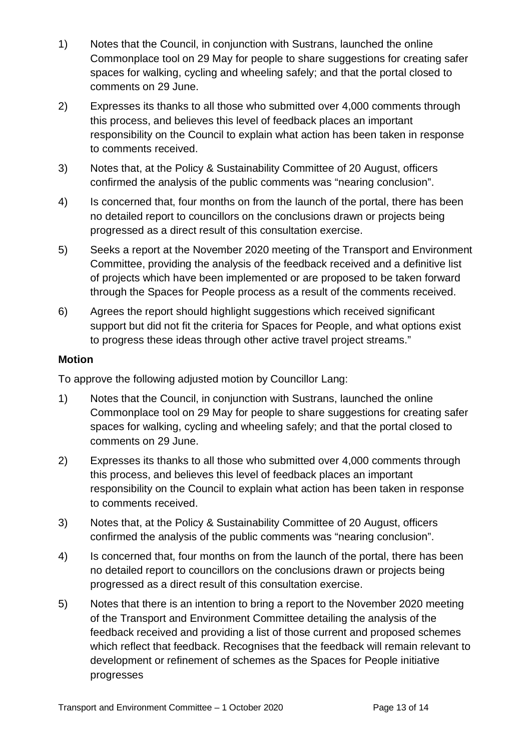- 1) Notes that the Council, in conjunction with Sustrans, launched the online Commonplace tool on 29 May for people to share suggestions for creating safer spaces for walking, cycling and wheeling safely; and that the portal closed to comments on 29 June.
- 2) Expresses its thanks to all those who submitted over 4,000 comments through this process, and believes this level of feedback places an important responsibility on the Council to explain what action has been taken in response to comments received.
- 3) Notes that, at the Policy & Sustainability Committee of 20 August, officers confirmed the analysis of the public comments was "nearing conclusion".
- 4) Is concerned that, four months on from the launch of the portal, there has been no detailed report to councillors on the conclusions drawn or projects being progressed as a direct result of this consultation exercise.
- 5) Seeks a report at the November 2020 meeting of the Transport and Environment Committee, providing the analysis of the feedback received and a definitive list of projects which have been implemented or are proposed to be taken forward through the Spaces for People process as a result of the comments received.
- 6) Agrees the report should highlight suggestions which received significant support but did not fit the criteria for Spaces for People, and what options exist to progress these ideas through other active travel project streams."

#### **Motion**

To approve the following adjusted motion by Councillor Lang:

- 1) Notes that the Council, in conjunction with Sustrans, launched the online Commonplace tool on 29 May for people to share suggestions for creating safer spaces for walking, cycling and wheeling safely; and that the portal closed to comments on 29 June.
- 2) Expresses its thanks to all those who submitted over 4,000 comments through this process, and believes this level of feedback places an important responsibility on the Council to explain what action has been taken in response to comments received.
- 3) Notes that, at the Policy & Sustainability Committee of 20 August, officers confirmed the analysis of the public comments was "nearing conclusion".
- 4) Is concerned that, four months on from the launch of the portal, there has been no detailed report to councillors on the conclusions drawn or projects being progressed as a direct result of this consultation exercise.
- 5) Notes that there is an intention to bring a report to the November 2020 meeting of the Transport and Environment Committee detailing the analysis of the feedback received and providing a list of those current and proposed schemes which reflect that feedback. Recognises that the feedback will remain relevant to development or refinement of schemes as the Spaces for People initiative progresses